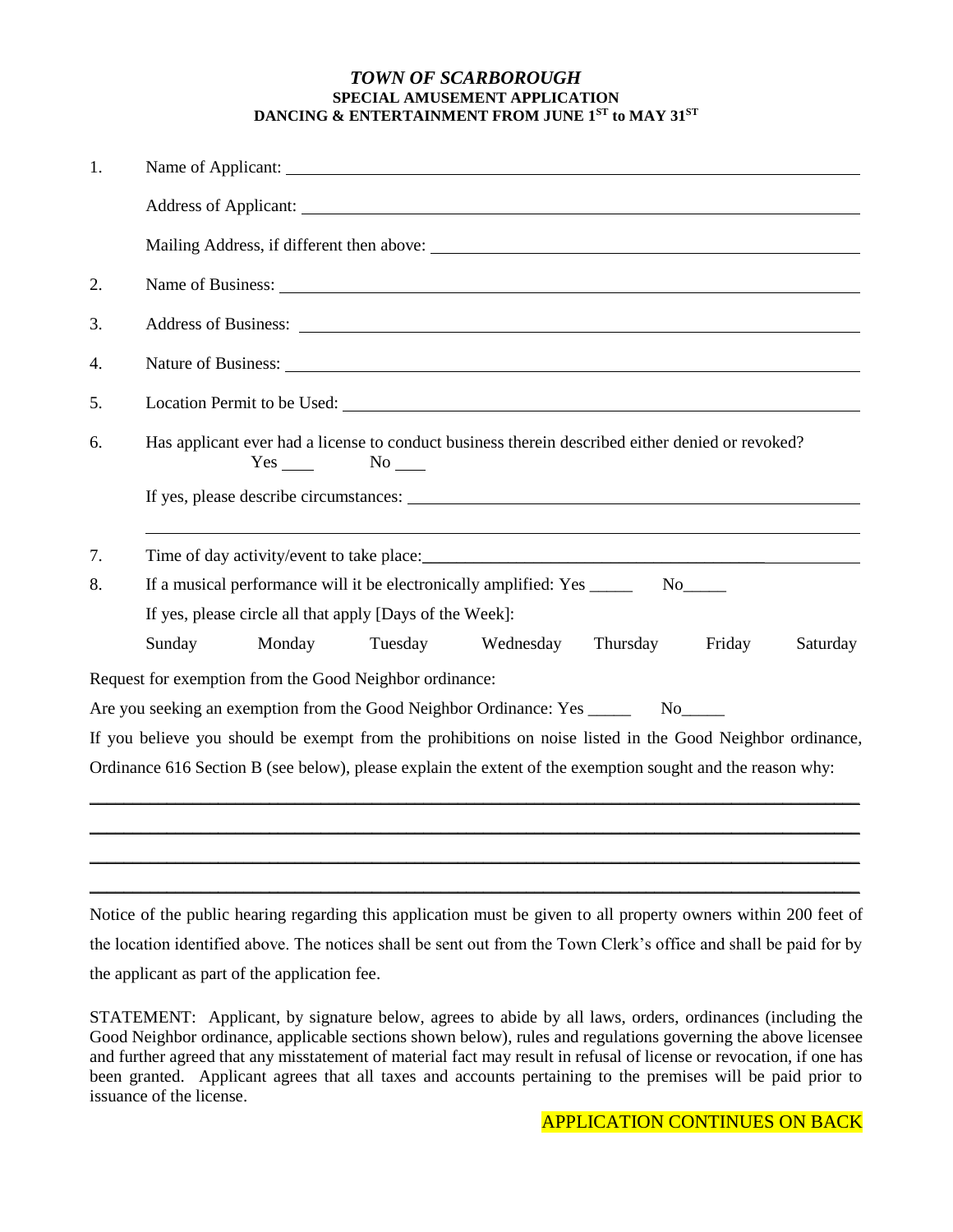### *TOWN OF SCARBOROUGH* **SPECIAL AMUSEMENT APPLICATION DANCING & ENTERTAINMENT FROM JUNE 1ST to MAY 31ST**

| 1. | Name of Applicant:                                                                                                                                                                                                             |
|----|--------------------------------------------------------------------------------------------------------------------------------------------------------------------------------------------------------------------------------|
|    |                                                                                                                                                                                                                                |
|    |                                                                                                                                                                                                                                |
| 2. |                                                                                                                                                                                                                                |
| 3. |                                                                                                                                                                                                                                |
| 4. | Nature of Business: Universe of Business and Security and Security and Security and Security and Security and Security and Security and Security and Security and Security and Security and Security and Security and Security |
| 5. |                                                                                                                                                                                                                                |
| 6. | Has applicant ever had a license to conduct business therein described either denied or revoked?<br>$No$ <sub>___</sub>                                                                                                        |
|    |                                                                                                                                                                                                                                |
| 7. | Time of day activity/event to take place:                                                                                                                                                                                      |
| 8. | If a musical performance will it be electronically amplified: Yes _________ No_____                                                                                                                                            |
|    | If yes, please circle all that apply [Days of the Week]:                                                                                                                                                                       |
|    | Sunday<br>Monday<br>Tuesday<br>Wednesday<br>Thursday<br>Friday<br>Saturday                                                                                                                                                     |
|    | Request for exemption from the Good Neighbor ordinance:                                                                                                                                                                        |
|    | Are you seeking an exemption from the Good Neighbor Ordinance: Yes ________ No_____                                                                                                                                            |
|    | If you believe you should be exempt from the prohibitions on noise listed in the Good Neighbor ordinance,                                                                                                                      |
|    | Ordinance 616 Section B (see below), please explain the extent of the exemption sought and the reason why:                                                                                                                     |
|    |                                                                                                                                                                                                                                |
|    |                                                                                                                                                                                                                                |

Notice of the public hearing regarding this application must be given to all property owners within 200 feet of the location identified above. The notices shall be sent out from the Town Clerk's office and shall be paid for by the applicant as part of the application fee.

\_\_\_\_\_\_\_\_\_\_\_\_\_\_\_\_\_\_\_\_\_\_\_\_\_\_\_\_\_\_\_\_\_\_\_\_\_\_\_\_\_\_\_\_\_\_\_\_\_\_\_\_\_\_\_\_\_\_\_\_\_\_\_\_\_\_\_\_\_\_\_\_\_\_\_\_\_\_\_\_\_\_\_\_\_\_\_\_\_\_

STATEMENT: Applicant, by signature below, agrees to abide by all laws, orders, ordinances (including the Good Neighbor ordinance, applicable sections shown below), rules and regulations governing the above licensee and further agreed that any misstatement of material fact may result in refusal of license or revocation, if one has been granted. Applicant agrees that all taxes and accounts pertaining to the premises will be paid prior to issuance of the license.

APPLICATION CONTINUES ON BACK